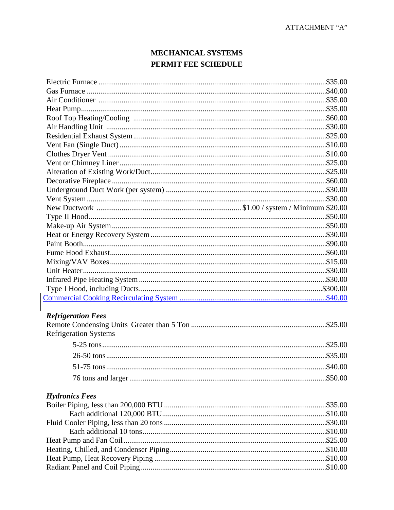## MECHANICAL SYSTEMS PERMIT FEE SCHEDULE

| <b>Refrigeration Fees</b>    |  |
|------------------------------|--|
|                              |  |
| <b>Refrigeration Systems</b> |  |
|                              |  |
|                              |  |
|                              |  |
|                              |  |
|                              |  |
| <b>Hydronics Fees</b>        |  |
|                              |  |
|                              |  |
|                              |  |
|                              |  |
|                              |  |
|                              |  |
|                              |  |
|                              |  |
|                              |  |